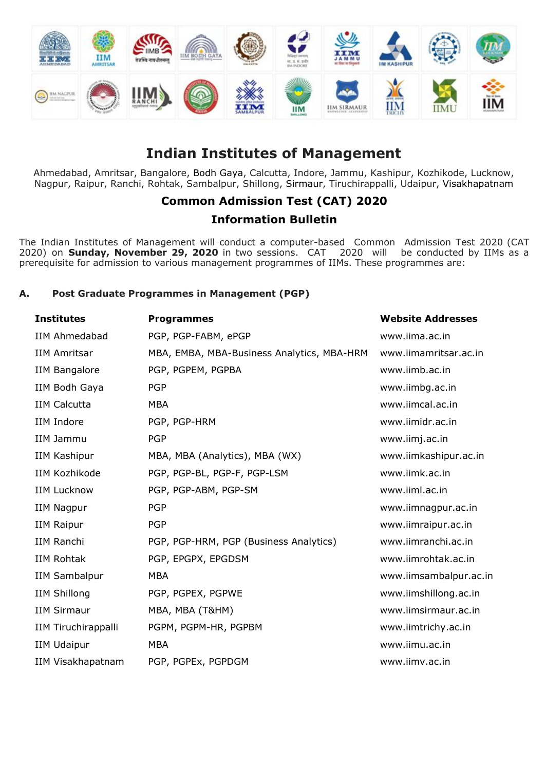

# **Indian Institutes of Management**

Ahmedabad, Amritsar, Bangalore, Bodh Gaya, Calcutta, Indore, Jammu, Kashipur, Kozhikode, Lucknow, Nagpur, Raipur, Ranchi, Rohtak, Sambalpur, Shillong, Sirmaur, Tiruchirappalli, Udaipur, Visakhapatnam

# **Common Admission Test (CAT) 2020**

# **Information Bulletin**

The Indian Institutes of Management will conduct a computer-based Common Admission Test 2020 (CAT 2020) on **Sunday, November 29, 2020** in two sessions. CAT 2020 will be conducted by IIMs as a prerequisite for admission to various management programmes of IIMs. These programmes are:

# **A. Post Graduate Programmes in Management (PGP)**

| <b>Institutes</b>    | <b>Programmes</b>                          | <b>Website Addresses</b> |
|----------------------|--------------------------------------------|--------------------------|
| <b>IIM Ahmedabad</b> | PGP, PGP-FABM, ePGP                        | www.iima.ac.in           |
| <b>IIM Amritsar</b>  | MBA, EMBA, MBA-Business Analytics, MBA-HRM | www.iimamritsar.ac.in    |
| <b>IIM Bangalore</b> | PGP, PGPEM, PGPBA                          | www.iimb.ac.in           |
| IIM Bodh Gaya        | <b>PGP</b>                                 | www.iimbg.ac.in          |
| <b>IIM Calcutta</b>  | <b>MBA</b>                                 | www.iimcal.ac.in         |
| IIM Indore           | PGP, PGP-HRM                               | www.iimidr.ac.in         |
| IIM Jammu            | <b>PGP</b>                                 | www.iimj.ac.in           |
| IIM Kashipur         | MBA, MBA (Analytics), MBA (WX)             | www.iimkashipur.ac.in    |
| <b>IIM Kozhikode</b> | PGP, PGP-BL, PGP-F, PGP-LSM                | www.iimk.ac.in           |
| <b>IIM Lucknow</b>   | PGP, PGP-ABM, PGP-SM                       | www.iiml.ac.in           |
| <b>IIM Nagpur</b>    | <b>PGP</b>                                 | www.iimnagpur.ac.in      |
| <b>IIM Raipur</b>    | <b>PGP</b>                                 | www.iimraipur.ac.in      |
| IIM Ranchi           | PGP, PGP-HRM, PGP (Business Analytics)     | www.iimranchi.ac.in      |
| <b>IIM Rohtak</b>    | PGP, EPGPX, EPGDSM                         | www.iimrohtak.ac.in      |
| <b>IIM Sambalpur</b> | <b>MBA</b>                                 | www.iimsambalpur.ac.in   |
| <b>IIM Shillong</b>  | PGP, PGPEX, PGPWE                          | www.iimshillong.ac.in    |
| <b>IIM Sirmaur</b>   | MBA, MBA (T&HM)                            | www.iimsirmaur.ac.in     |
| IIM Tiruchirappalli  | PGPM, PGPM-HR, PGPBM                       | www.iimtrichy.ac.in      |
| <b>IIM Udaipur</b>   | <b>MBA</b>                                 | www.iimu.ac.in           |
| IIM Visakhapatnam    | PGP, PGPEx, PGPDGM                         | www.iimv.ac.in           |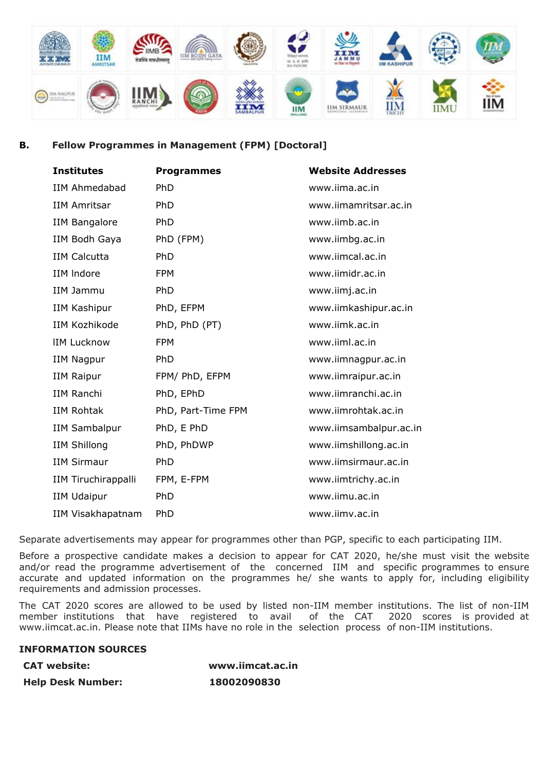

## **B. Fellow Programmes in Management (FPM) [Doctoral]**

| <b>Institutes</b>          | <b>Programmes</b>  | <b>Website Addresses</b> |
|----------------------------|--------------------|--------------------------|
| <b>IIM Ahmedabad</b>       | <b>PhD</b>         | www.iima.ac.in           |
| <b>IIM Amritsar</b>        | PhD                | www.iimamritsar.ac.in    |
| <b>IIM Bangalore</b>       | PhD                | www.iimb.ac.in           |
| IIM Bodh Gaya              | PhD (FPM)          | www.iimbg.ac.in          |
| <b>IIM Calcutta</b>        | PhD                | www.iimcal.ac.in         |
| IIM Indore                 | <b>FPM</b>         | www.iimidr.ac.in         |
| IIM Jammu                  | PhD                | www.iimj.ac.in           |
| <b>IIM Kashipur</b>        | PhD, EFPM          | www.iimkashipur.ac.in    |
| <b>IIM Kozhikode</b>       | PhD, PhD (PT)      | www.iimk.ac.in           |
| <b>IIM Lucknow</b>         | <b>FPM</b>         | www.iiml.ac.in           |
| <b>IIM Nagpur</b>          | PhD                | www.iimnagpur.ac.in      |
| <b>IIM Raipur</b>          | FPM/ PhD, EFPM     | www.iimraipur.ac.in      |
| <b>IIM Ranchi</b>          | PhD, EPhD          | www.iimranchi.ac.in      |
| <b>IIM Rohtak</b>          | PhD, Part-Time FPM | www.iimrohtak.ac.in      |
| <b>IIM Sambalpur</b>       | PhD, E PhD         | www.iimsambalpur.ac.in   |
| <b>IIM Shillong</b>        | PhD, PhDWP         | www.iimshillong.ac.in    |
| <b>IIM Sirmaur</b>         | PhD                | www.iimsirmaur.ac.in     |
| <b>IIM Tiruchirappalli</b> | FPM, E-FPM         | www.iimtrichy.ac.in      |
| <b>IIM Udaipur</b>         | PhD                | www.iimu.ac.in           |
| IIM Visakhapatnam          | PhD                | www.iimv.ac.in           |

Separate advertisements may appear for programmes other than PGP, specific to each participating IIM.

Before a prospective candidate makes a decision to appear for CAT 2020, he/she must visit the website and/or read the programme advertisement of the concerned IIM and specific programmes to ensure accurate and updated information on the programmes he/ she wants to apply for, including eligibility requirements and admission processes.

The CAT 2020 scores are allowed to be used by listed non-IIM member institutions. The list of non-IIM member institutions that have registered to avail of the CAT 2020 scores is provided at [www.iimcat.ac.in.](http://www.iimcat.ac.in/) Please note that IIMs have no role in the selection process of non-IIM institutions.

#### **INFORMATION SOURCES**

**CAT website: [www.iimcat.ac.in](http://www.iimcat.ac.in/) Help Desk Number: 18002090830**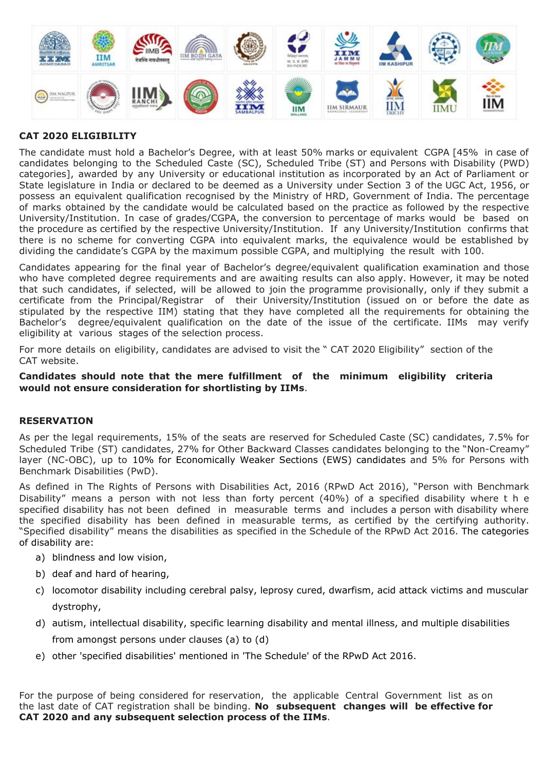

# **CAT 2020 ELIGIBILITY**

The candidate must hold a Bachelor's Degree, with at least 50% marks or equivalent CGPA [45% in case of candidates belonging to the Scheduled Caste (SC), Scheduled Tribe (ST) and Persons with Disability (PWD) categories], awarded by any University or educational institution as incorporated by an Act of Parliament or State legislature in India or declared to be deemed as a University under Section 3 of the UGC Act, 1956, or possess an equivalent qualification recognised by the Ministry of HRD, Government of India. The percentage of marks obtained by the candidate would be calculated based on the practice as followed by the respective University/Institution. In case of grades/CGPA, the conversion to percentage of marks would be based on the procedure as certified by the respective University/Institution. If any University/Institution confirms that there is no scheme for converting CGPA into equivalent marks, the equivalence would be established by dividing the candidate's CGPA by the maximum possible CGPA, and multiplying the result with 100.

Candidates appearing for the final year of Bachelor's degree/equivalent qualification examination and those who have completed degree requirements and are awaiting results can also apply. However, it may be noted that such candidates, if selected, will be allowed to join the programme provisionally, only if they submit a certificate from the Principal/Registrar of their University/Institution (issued on or before the date as stipulated by the respective IIM) stating that they have completed all the requirements for obtaining the Bachelor's degree/equivalent qualification on the date of the issue of the certificate. IIMs may verify eligibility at various stages of the selection process.

For more details on eligibility, candidates are advised to visit the " CAT 2020 Eligibility" section of the CAT website.

#### **Candidates should note that the mere fulfillment of the minimum eligibility criteria would not ensure consideration for shortlisting by IIMs**.

#### **RESERVATION**

As per the legal requirements, 15% of the seats are reserved for Scheduled Caste (SC) candidates, 7.5% for Scheduled Tribe (ST) candidates, 27% for Other Backward Classes candidates belonging to the "Non-Creamy" layer (NC-OBC), up to 10% for Economically Weaker Sections (EWS) candidates and 5% for Persons with Benchmark Disabilities (PwD).

As defined in The Rights of Persons with Disabilities Act, 2016 (RPwD Act 2016), "Person with Benchmark Disability" means a person with not less than forty percent (40%) of a specified disability where t h e specified disability has not been defined in measurable terms and includes a person with disability where the specified disability has been defined in measurable terms, as certified by the certifying authority. "Specified disability" means the disabilities as specified in the Schedule of the RPwD Act 2016. The categories of disability are:

- a) blindness and low vision,
- b) deaf and hard of hearing,
- c) locomotor disability including cerebral palsy, leprosy cured, dwarfism, acid attack victims and muscular dystrophy,
- d) autism, intellectual disability, specific learning disability and mental illness, and multiple disabilities from amongst persons under clauses (a) to (d)
- e) other 'specified disabilities' mentioned in 'The Schedule' of the RPwD Act 2016.

For the purpose of being considered for reservation, the applicable Central Government list as on the last date of CAT registration shall be binding. **No subsequent changes will be effective for CAT 2020 and any subsequent selection process of the IIMs**.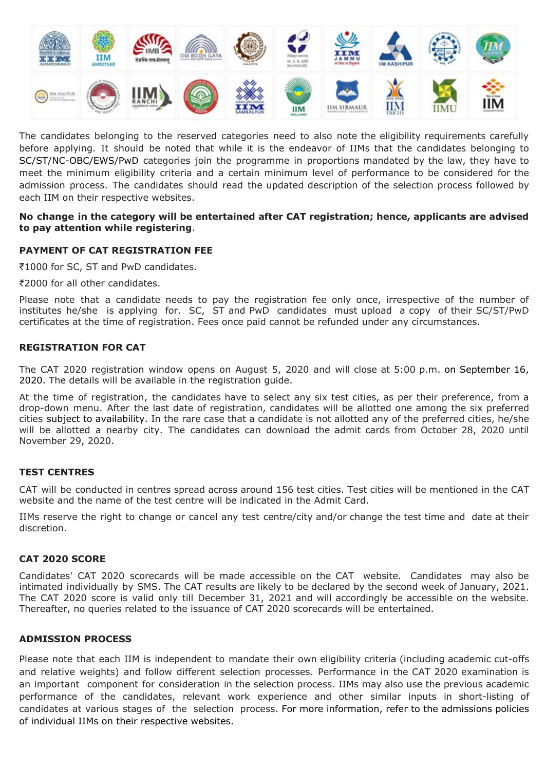

The candidates belonging to the reserved categories need to also note the eligibility requirements carefully before applying. It should be noted that while it is the endeavor of IIMs that the candidates belonging to SC/ST/NC-OBC/EWS/PwD categories join the programme in proportions mandated by the law, they have to meet the minimum eligibility criteria and a certain minimum level of performance to be considered for the admission process. The candidates should read the updated description of the selection process followed by each IIM on their respective websites.

#### **No change in the category will be entertained after CAT registration; hence, applicants are advised to pay attention while registering**.

# **PAYMENT OF CAT REGISTRATION FEE**

₹1000 for SC, ST and PwD candidates.

₹2000 for all other candidates.

Please note that a candidate needs to pay the registration fee only once, irrespective of the number of institutes he/she is applying for. SC, ST and PwD candidates must upload a copy of their SC/ST/PwD certificates at the time of registration. Fees once paid cannot be refunded under any circumstances.

#### **REGISTRATION FOR CAT**

The CAT 2020 registration window opens on August 5, 2020 and will close at 5:00 p.m. on September 16, 2020. The details will be available in the registration guide.

At the time of registration, the candidates have to select any six test cities, as per their preference, from a drop-down menu. After the last date of registration, candidates will be allotted one among the six preferred cities subject to availability. In the rare case that a candidate is not allotted any of the preferred cities, he/she will be allotted a nearby city. The candidates can download the admit cards from October 28, 2020 until November 29, 2020.

#### **TEST CENTRES**

CAT will be conducted in centres spread across around 156 test cities. Test cities will be mentioned in the CAT website and the name of the test centre will be indicated in the Admit Card.

IIMs reserve the right to change or cancel any test centre/city and/or change the test time and date at their discretion.

#### **CAT 2020 SCORE**

Candidates' CAT 2020 scorecards will be made accessible on the CAT website. Candidates may also be intimated individually by SMS. The CAT results are likely to be declared by the second week of January, 2021. The CAT 2020 score is valid only till December 31, 2021 and will accordingly be accessible on the website. Thereafter, no queries related to the issuance of CAT 2020 scorecards will be entertained.

#### **ADMISSION PROCESS**

Please note that each IIM is independent to mandate their own eligibility criteria (including academic cut-offs and relative weights) and follow different selection processes. Performance in the CAT 2020 examination is an important component for consideration in the selection process. IIMs may also use the previous academic performance of the candidates, relevant work experience and other similar inputs in short-listing of candidates at various stages of the selection process. For more information, refer to the admissions policies of individual IIMs on their respective websites.